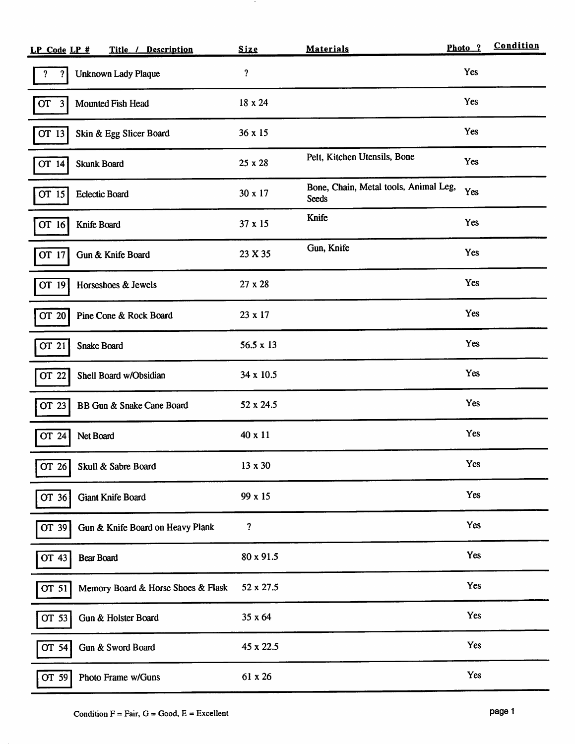| LP Code LP #              | Title / Description                | Size                       | <b>Materials</b>                               | Photo ?    | Condition |
|---------------------------|------------------------------------|----------------------------|------------------------------------------------|------------|-----------|
| ?                         | <b>Unknown Lady Plaque</b>         | $\boldsymbol{\mathsf{?}}$  |                                                | Yes        |           |
| <b>OT</b><br>$\mathbf{3}$ | Mounted Fish Head                  | 18 x 24                    |                                                | Yes        |           |
| OT 13                     | Skin & Egg Slicer Board            | 36 x 15                    |                                                | Yes        |           |
| OT 14                     | <b>Skunk Board</b>                 | 25 x 28                    | Pelt, Kitchen Utensils, Bone                   | Yes        |           |
| OT 15                     | <b>Eclectic Board</b>              | 30 x 17                    | Bone, Chain, Metal tools, Animal Leg,<br>Seeds | Yes        |           |
| OT 16                     | Knife Board                        | 37 x 15                    | Knife                                          | Yes        |           |
| OT 17                     | Gun & Knife Board                  | 23 X 35                    | Gun, Knife                                     | Yes        |           |
| OT 19                     | Horseshoes & Jewels                | 27 x 28                    |                                                | <b>Yes</b> |           |
| OT 20                     | Pine Cone & Rock Board             | 23 x 17                    |                                                | Yes        |           |
| OT 21                     | <b>Snake Board</b>                 | $56.5 \times 13$           |                                                | Yes        |           |
| OT 22                     | Shell Board w/Obsidian             | 34 x 10.5                  |                                                | Yes        |           |
| OT 23                     | BB Gun & Snake Cane Board          | 52 x 24.5                  |                                                | Yes        |           |
| OT 24                     | Net Board                          | 40 x 11                    |                                                | Yes        |           |
| OT 26                     | Skull & Sabre Board                | 13 x 30                    |                                                | Yes        |           |
| OT 36                     | <b>Giant Knife Board</b>           | 99 x 15                    |                                                | Yes        |           |
| OT 39                     | Gun & Knife Board on Heavy Plank   | $\boldsymbol{\mathcal{C}}$ |                                                | Yes        |           |
| OT 43                     | <b>Bear Board</b>                  | 80 x 91.5                  |                                                | Yes        |           |
| OT 51                     | Memory Board & Horse Shoes & Flask | 52 x 27.5                  |                                                | Yes        |           |
| OT 53                     | Gun & Holster Board                | 35 x 64                    |                                                | Yes        |           |
| OT 54                     | Gun & Sword Board                  | 45 x 22.5                  |                                                | Yes        |           |
| OT 59                     | Photo Frame w/Guns                 | 61 x 26                    |                                                | Yes        |           |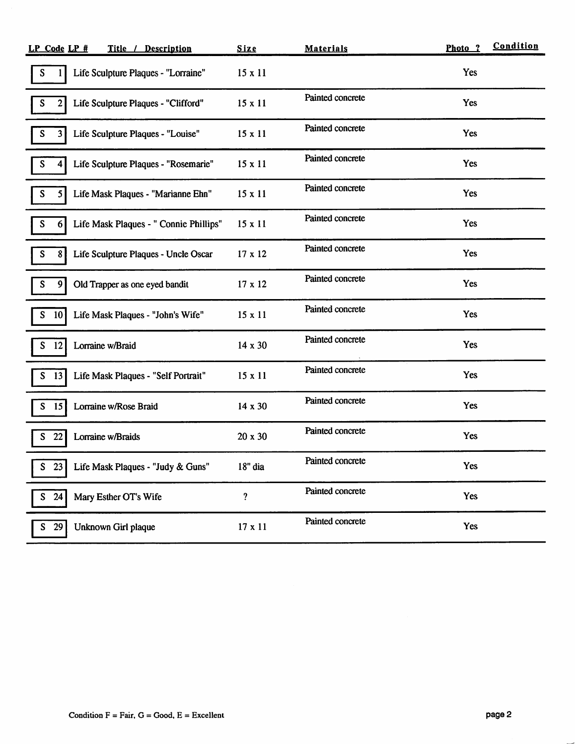| Title / Description<br>LP Code LP #                                     | <b>Size</b>             | <b>Materials</b> | Photo ?    | Condition |
|-------------------------------------------------------------------------|-------------------------|------------------|------------|-----------|
| Life Sculpture Plaques - "Lorraine"<br>S                                | $15 \times 11$          |                  | Yes        |           |
| Life Sculpture Plaques - "Clifford"<br>S<br>2                           | $15 \times 11$          | Painted concrete | Yes        |           |
| Life Sculpture Plaques - "Louise"<br>S<br>$\mathbf{3}$                  | $15 \times 11$          | Painted concrete | <b>Yes</b> |           |
| Life Sculpture Plaques - "Rosemarie"<br>S<br>4                          | $15 \times 11$          | Painted concrete | Yes        |           |
| Life Mask Plaques - "Marianne Ehn"<br>S<br>5 <sup>1</sup>               | 15 x 11                 | Painted concrete | Yes        |           |
| Life Mask Plaques - " Connie Phillips"<br>S<br>$6 \mid$                 | $15 \times 11$          | Painted concrete | Yes        |           |
| ${\mathbb S}$<br>Life Sculpture Plaques - Uncle Oscar<br>8 <sup>1</sup> | 17 x 12                 | Painted concrete | Yes        |           |
| Old Trapper as one eyed bandit<br>S<br>9                                | 17 x 12                 | Painted concrete | Yes        |           |
| Life Mask Plaques - "John's Wife"<br>S<br>10 <sup>°</sup>               | 15 x 11                 | Painted concrete | Yes        |           |
| Lorraine w/Braid<br> 12                                                 | 14 x 30                 | Painted concrete | Yes        |           |
| Life Mask Plaques - "Self Portrait"<br>13<br>S                          | 15 x 11                 | Painted concrete | Yes        |           |
| Lorraine w/Rose Braid<br>S<br>15                                        | 14 x 30                 | Painted concrete | Yes        |           |
| 22<br>Lorraine w/Braids                                                 | 20 x 30                 | Painted concrete | Yes        |           |
| 23<br>Life Mask Plaques - "Judy & Guns"<br>$S_{-}$                      | 18" dia                 | Painted concrete | Yes        |           |
| $S$ 24<br>Mary Esther OT's Wife                                         | $\overline{\mathbf{?}}$ | Painted concrete | Yes        |           |
| $S$ 29<br>Unknown Girl plaque                                           | 17 x 11                 | Painted concrete | Yes        |           |